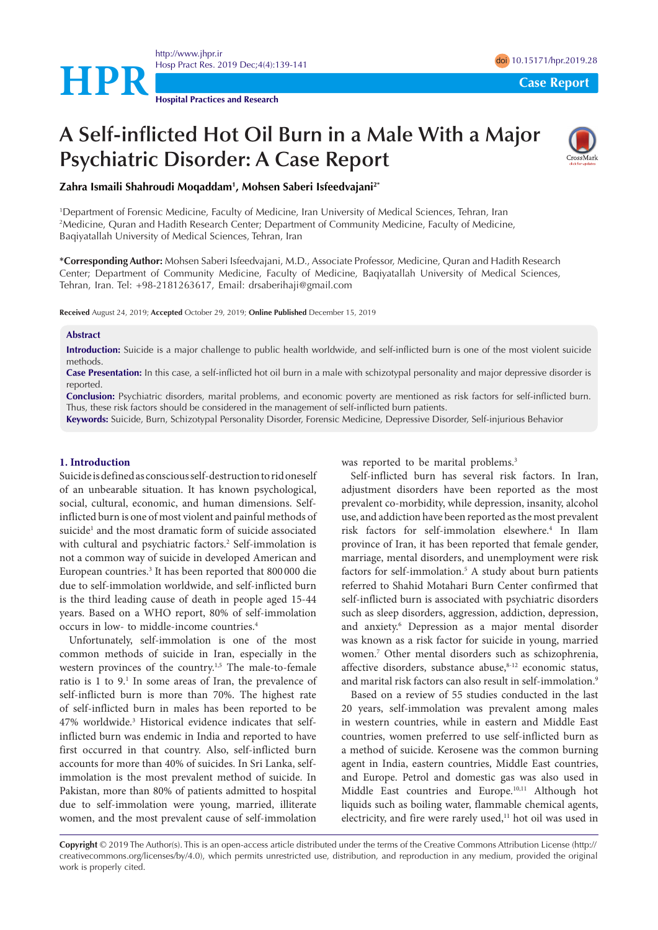

<http://www.jhpr.ir> Hosp Pract Res. 2019 Dec;4(4):139-141 doi [10.15171/hpr.2019.28](https://doi.org/10.15171/hpr.2019.28)

# **A Self-inflicted Hot Oil Burn in a Male With a Major Psychiatric Disorder: A Case Report**



**Zahra Ismaili Shahroudi Moqaddam1 , Mohsen Saberi Isfeedvajani2\***

**Hospital Practices and Research**

1 Department of Forensic Medicine, Faculty of Medicine, Iran University of Medical Sciences, Tehran, Iran 2 Medicine, Quran and Hadith Research Center; Department of Community Medicine, Faculty of Medicine, Baqiyatallah University of Medical Sciences, Tehran, Iran

**\*Corresponding Author:** Mohsen Saberi Isfeedvajani, M.D., Associate Professor, Medicine, Quran and Hadith Research Center; Department of Community Medicine, Faculty of Medicine, Baqiyatallah University of Medical Sciences, Tehran, Iran. Tel: +98-2181263617, Email: drsaberihaji@gmail.com

**Received** August 24, 2019; **Accepted** October 29, 2019; **Online Published** December 15, 2019

#### **Abstract**

**Introduction:** Suicide is a major challenge to public health worldwide, and self-inflicted burn is one of the most violent suicide methods.

**Case Presentation:** In this case, a self-inflicted hot oil burn in a male with schizotypal personality and major depressive disorder is reported.

**Conclusion:** Psychiatric disorders, marital problems, and economic poverty are mentioned as risk factors for self-inflicted burn. Thus, these risk factors should be considered in the management of self-inflicted burn patients.

**Keywords:** Suicide, Burn, Schizotypal Personality Disorder, Forensic Medicine, Depressive Disorder, Self-injurious Behavior

#### **1. Introduction**

Suicide is defined as conscious self-destruction to rid oneself of an unbearable situation. It has known psychological, social, cultural, economic, and human dimensions. Selfinflicted burn is one of most violent and painful methods of suicide<sup>1</sup> and the most dramatic form of suicide associated with cultural and psychiatric factors.<sup>2</sup> Self-immolation is not a common way of suicide in developed American and European countries.<sup>3</sup> It has been reported that 800 000 die due to self-immolation worldwide, and self-inflicted burn is the third leading cause of death in people aged 15-44 years. Based on a WHO report, 80% of self-immolation occurs in low- to middle-income countries.4

Unfortunately, self-immolation is one of the most common methods of suicide in Iran, especially in the western provinces of the country.<sup>1,5</sup> The male-to-female ratio is 1 to 9.<sup>1</sup> In some areas of Iran, the prevalence of self-inflicted burn is more than 70%. The highest rate of self-inflicted burn in males has been reported to be 47% worldwide.3 Historical evidence indicates that selfinflicted burn was endemic in India and reported to have first occurred in that country. Also, self-inflicted burn accounts for more than 40% of suicides. In Sri Lanka, selfimmolation is the most prevalent method of suicide. In Pakistan, more than 80% of patients admitted to hospital due to self-immolation were young, married, illiterate women, and the most prevalent cause of self-immolation was reported to be marital problems.<sup>3</sup>

Self-inflicted burn has several risk factors. In Iran, adjustment disorders have been reported as the most prevalent co-morbidity, while depression, insanity, alcohol use, and addiction have been reported as the most prevalent risk factors for self-immolation elsewhere.4 In Ilam province of Iran, it has been reported that female gender, marriage, mental disorders, and unemployment were risk factors for self-immolation.5 A study about burn patients referred to Shahid Motahari Burn Center confirmed that self-inflicted burn is associated with psychiatric disorders such as sleep disorders, aggression, addiction, depression, and anxiety.6 Depression as a major mental disorder was known as a risk factor for suicide in young, married women.7 Other mental disorders such as schizophrenia, affective disorders, substance abuse, $8-12$  economic status, and marital risk factors can also result in self-immolation.9

Based on a review of 55 studies conducted in the last 20 years, self-immolation was prevalent among males in western countries, while in eastern and Middle East countries, women preferred to use self-inflicted burn as a method of suicide. Kerosene was the common burning agent in India, eastern countries, Middle East countries, and Europe. Petrol and domestic gas was also used in Middle East countries and Europe.10,11 Although hot liquids such as boiling water, flammable chemical agents, electricity, and fire were rarely used,<sup>11</sup> hot oil was used in

**Copyright** © 2019 The Author(s). This is an open-access article distributed under the terms of the Creative Commons Attribution License (http:// creativecommons.org/licenses/by/4.0), which permits unrestricted use, distribution, and reproduction in any medium, provided the original work is properly cited.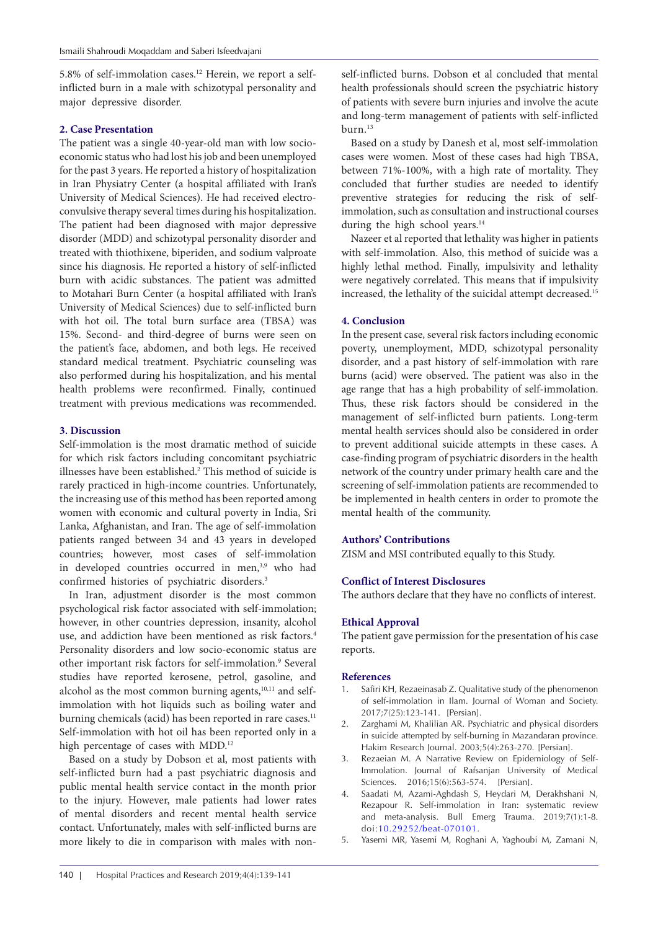5.8% of self-immolation cases.12 Herein, we report a selfinflicted burn in a male with schizotypal personality and major depressive disorder.

## **2. Case Presentation**

The patient was a single 40-year-old man with low socioeconomic status who had lost his job and been unemployed for the past 3 years. He reported a history of hospitalization in Iran Physiatry Center (a hospital affiliated with Iran's University of Medical Sciences). He had received electroconvulsive therapy several times during his hospitalization. The patient had been diagnosed with major depressive disorder (MDD) and schizotypal personality disorder and treated with thiothixene, biperiden, and sodium valproate since his diagnosis. He reported a history of self-inflicted burn with acidic substances. The patient was admitted to Motahari Burn Center (a hospital affiliated with Iran's University of Medical Sciences) due to self-inflicted burn with hot oil. The total burn surface area (TBSA) was 15%. Second- and third-degree of burns were seen on the patient's face, abdomen, and both legs. He received standard medical treatment. Psychiatric counseling was also performed during his hospitalization, and his mental health problems were reconfirmed. Finally, continued treatment with previous medications was recommended.

## **3. Discussion**

Self-immolation is the most dramatic method of suicide for which risk factors including concomitant psychiatric illnesses have been established.<sup>2</sup> This method of suicide is rarely practiced in high-income countries. Unfortunately, the increasing use of this method has been reported among women with economic and cultural poverty in India, Sri Lanka, Afghanistan, and Iran. The age of self-immolation patients ranged between 34 and 43 years in developed countries; however, most cases of self-immolation in developed countries occurred in men,<sup>3,9</sup> who had confirmed histories of psychiatric disorders.3

In Iran, adjustment disorder is the most common psychological risk factor associated with self-immolation; however, in other countries depression, insanity, alcohol use, and addiction have been mentioned as risk factors.<sup>4</sup> Personality disorders and low socio-economic status are other important risk factors for self-immolation.<sup>9</sup> Several studies have reported kerosene, petrol, gasoline, and alcohol as the most common burning agents,<sup>10,11</sup> and selfimmolation with hot liquids such as boiling water and burning chemicals (acid) has been reported in rare cases.<sup>11</sup> Self-immolation with hot oil has been reported only in a high percentage of cases with MDD.<sup>12</sup>

Based on a study by Dobson et al, most patients with self-inflicted burn had a past psychiatric diagnosis and public mental health service contact in the month prior to the injury. However, male patients had lower rates of mental disorders and recent mental health service contact. Unfortunately, males with self-inflicted burns are more likely to die in comparison with males with non-

self-inflicted burns. Dobson et al concluded that mental health professionals should screen the psychiatric history of patients with severe burn injuries and involve the acute and long-term management of patients with self-inflicted burn.13

Based on a study by Danesh et al, most self-immolation cases were women. Most of these cases had high TBSA, between 71%-100%, with a high rate of mortality. They concluded that further studies are needed to identify preventive strategies for reducing the risk of selfimmolation, such as consultation and instructional courses during the high school years.<sup>14</sup>

Nazeer et al reported that lethality was higher in patients with self-immolation. Also, this method of suicide was a highly lethal method. Finally, impulsivity and lethality were negatively correlated. This means that if impulsivity increased, the lethality of the suicidal attempt decreased.<sup>15</sup>

#### **4. Conclusion**

In the present case, several risk factors including economic poverty, unemployment, MDD, schizotypal personality disorder, and a past history of self-immolation with rare burns (acid) were observed. The patient was also in the age range that has a high probability of self-immolation. Thus, these risk factors should be considered in the management of self-inflicted burn patients. Long-term mental health services should also be considered in order to prevent additional suicide attempts in these cases. A case-finding program of psychiatric disorders in the health network of the country under primary health care and the screening of self-immolation patients are recommended to be implemented in health centers in order to promote the mental health of the community.

#### **Authors' Contributions**

ZISM and MSI contributed equally to this Study.

# **Conflict of Interest Disclosures**

The authors declare that they have no conflicts of interest.

## **Ethical Approval**

The patient gave permission for the presentation of his case reports.

#### **References**

- 1. Safiri KH, Rezaeinasab Z. Qualitative study of the phenomenon of self-immolation in Ilam. Journal of Woman and Society. 2017;7(25):123-141. [Persian].
- 2. Zarghami M, Khalilian AR. Psychiatric and physical disorders in suicide attempted by self-burning in Mazandaran province. Hakim Research Journal. 2003;5(4):263-270. [Persian].
- 3. Rezaeian M. A Narrative Review on Epidemiology of Self-Immolation. Journal of Rafsanjan University of Medical Sciences. 2016;15(6):563-574. [Persian].
- 4. Saadati M, Azami-Aghdash S, Heydari M, Derakhshani N, Rezapour R. Self-immolation in Iran: systematic review and meta-analysis. Bull Emerg Trauma. 2019;7(1):1-8. doi:[10.29252/beat-070101.](https://doi.org/10.29252/beat-070101)
- 5. Yasemi MR, Yasemi M, Roghani A, Yaghoubi M, Zamani N,